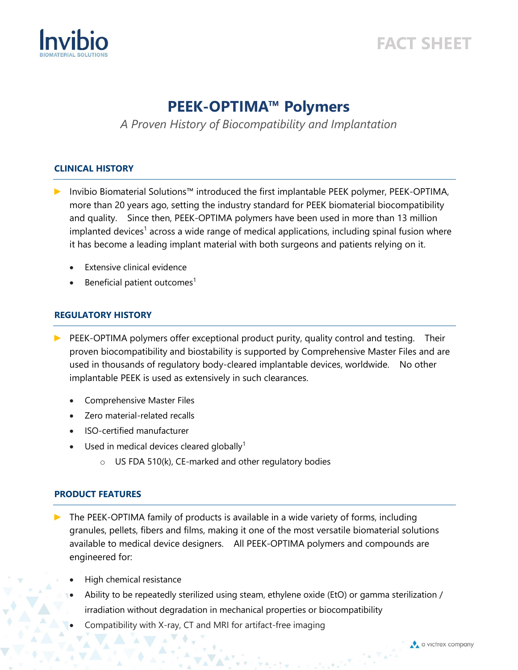

# **FACT SHEET**

# **PEEK-OPTIMA™ Polymers**

*A Proven History of Biocompatibility and Implantation*

#### **CLINICAL HISTORY**

- ► Invibio Biomaterial Solutions™ introduced the first implantable PEEK polymer, PEEK-OPTIMA, more than 20 years ago, setting the industry standard for PEEK biomaterial biocompatibility and quality. Since then, PEEK-OPTIMA polymers have been used in more than 13 million implanted devices<sup>1</sup> across a wide range of medical applications, including spinal fusion where it has become a leading implant material with both surgeons and patients relying on it.
	- **Extensive clinical evidence**
	- Beneficial patient outcomes<sup>1</sup>

#### **REGULATORY HISTORY**

- PEEK-OPTIMA polymers offer exceptional product purity, quality control and testing. Their proven biocompatibility and biostability is supported by Comprehensive Master Files and are used in thousands of regulatory body-cleared implantable devices, worldwide. No other implantable PEEK is used as extensively in such clearances.
	- Comprehensive Master Files
	- Zero material-related recalls
	- ISO-certified manufacturer
	- Used in medical devices cleared globally<sup>1</sup>
		- $\circ$  US FDA 510(k), CE-marked and other regulatory bodies

#### **PRODUCT FEATURES**

- The PEEK-OPTIMA family of products is available in a wide variety of forms, including granules, pellets, fibers and films, making it one of the most versatile biomaterial solutions available to medical device designers. All PEEK-OPTIMA polymers and compounds are engineered for:
	- High chemical resistance
	- Ability to be repeatedly sterilized using steam, ethylene oxide (EtO) or gamma sterilization / irradiation without degradation in mechanical properties or biocompatibility
	- Compatibility with X-ray, CT and MRI for artifact-free imaging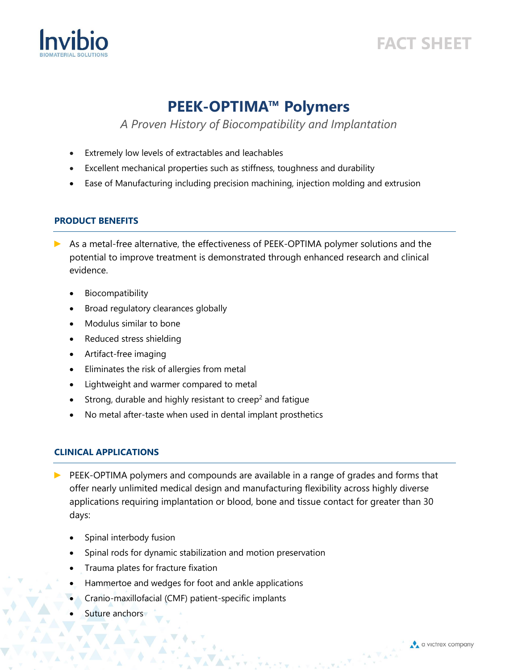



# **PEEK-OPTIMA™ Polymers**

### *A Proven History of Biocompatibility and Implantation*

- Extremely low levels of extractables and leachables
- Excellent mechanical properties such as stiffness, toughness and durability
- Ease of Manufacturing including precision machining, injection molding and extrusion

#### **PRODUCT BENEFITS**

- ► As a metal-free alternative, the effectiveness of PEEK-OPTIMA polymer solutions and the potential to improve treatment is demonstrated through enhanced research and clinical evidence.
	- **Biocompatibility**
	- Broad regulatory clearances globally
	- Modulus similar to bone
	- Reduced stress shielding
	- Artifact-free imaging
	- Eliminates the risk of allergies from metal
	- Lightweight and warmer compared to metal
	- Strong, durable and highly resistant to creep<sup>2</sup> and fatigue
	- No metal after-taste when used in dental implant prosthetics

### **CLINICAL APPLICATIONS**

- ► PEEK-OPTIMA polymers and compounds are available in a range of grades and forms that offer nearly unlimited medical design and manufacturing flexibility across highly diverse applications requiring implantation or blood, bone and tissue contact for greater than 30 days:
	- Spinal interbody fusion
	- Spinal rods for dynamic stabilization and motion preservation
	- Trauma plates for fracture fixation
	- Hammertoe and wedges for foot and ankle applications
	- Cranio-maxillofacial (CMF) patient-specific implants
	- Suture anchors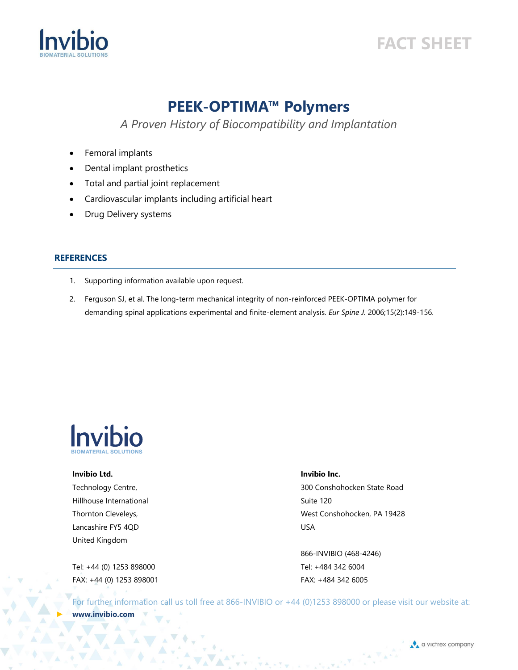

# **FACT SHEET**

### **PEEK-OPTIMA™ Polymers**

*A Proven History of Biocompatibility and Implantation*

- Femoral implants
- Dental implant prosthetics
- Total and partial joint replacement
- Cardiovascular implants including artificial heart
- Drug Delivery systems

#### **REFERENCES**

- 1. Supporting information available upon request.
- 2. Ferguson SJ, et al. The long-term mechanical integrity of non-reinforced PEEK-OPTIMA polymer for demanding spinal applications experimental and finite-element analysis. *Eur Spine J.* 2006;15(2):149-156.



### **Invibio Ltd.**

Technology Centre, Hillhouse International Thornton Cleveleys, Lancashire FY5 4QD United Kingdom

Tel: +44 (0) 1253 898000 FAX: +44 (0) 1253 898001

#### **Invibio Inc.**

300 Conshohocken State Road Suite 120 West Conshohocken, PA 19428 USA

866-INVIBIO (468-4246) Tel: +484 342 6004 FAX: +484 342 6005

For further information call us toll free at 866-INVIBIO or +44 (0)1253 898000 or please visit our website at: ► **www.invibio.com**